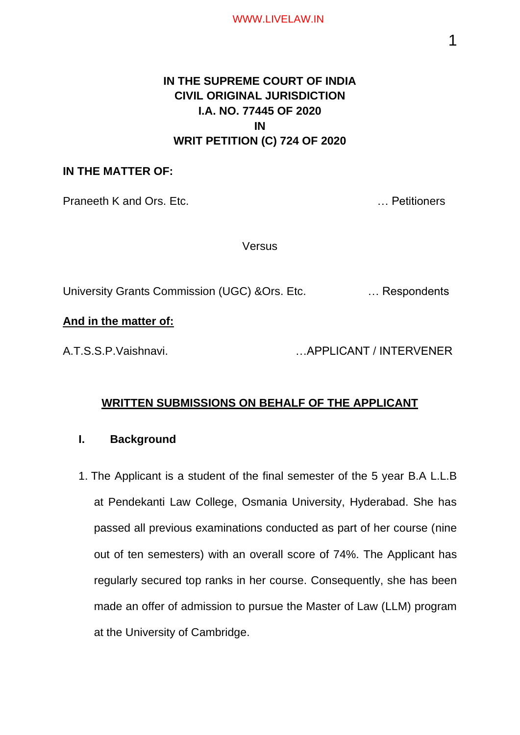# **IN THE SUPREME COURT OF INDIA CIVIL ORIGINAL JURISDICTION I.A. NO. 77445 OF 2020 IN WRIT PETITION (C) 724 OF 2020**

## **IN THE MATTER OF:**

Praneeth K and Ors. Etc. **Example 20 Praneeth K and Ors. Etc.** 20 **Petitioners** 

**Versus** 

University Grants Commission (UGC) &Ors. Etc. … Respondents

## **And in the matter of:**

A.T.S.S.P.Vaishnavi. …APPLICANT / INTERVENER

# **WRITTEN SUBMISSIONS ON BEHALF OF THE APPLICANT**

### **I. Background**

1. The Applicant is a student of the final semester of the 5 year B.A L.L.B at Pendekanti Law College, Osmania University, Hyderabad. She has passed all previous examinations conducted as part of her course (nine out of ten semesters) with an overall score of 74%. The Applicant has regularly secured top ranks in her course. Consequently, she has been made an offer of admission to pursue the Master of Law (LLM) program at the University of Cambridge.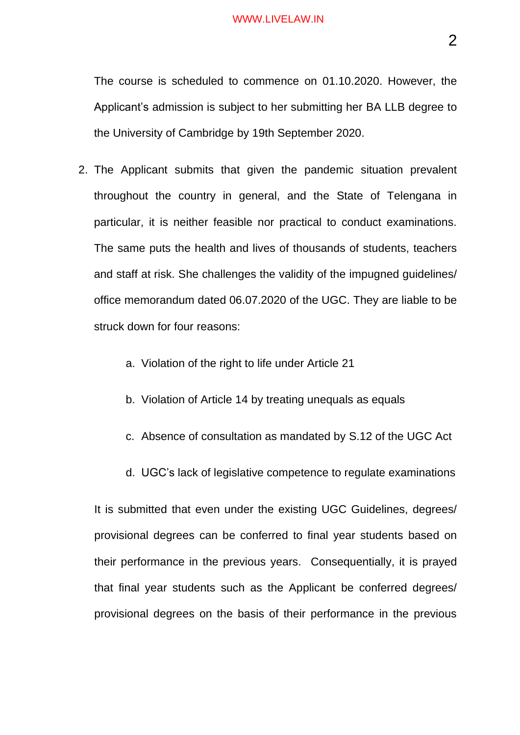The course is scheduled to commence on 01.10.2020. However, the Applicant's admission is subject to her submitting her BA LLB degree to the University of Cambridge by 19th September 2020.

- 2. The Applicant submits that given the pandemic situation prevalent throughout the country in general, and the State of Telengana in particular, it is neither feasible nor practical to conduct examinations. The same puts the health and lives of thousands of students, teachers and staff at risk. She challenges the validity of the impugned guidelines/ office memorandum dated 06.07.2020 of the UGC. They are liable to be struck down for four reasons:
	- a. Violation of the right to life under Article 21
	- b. Violation of Article 14 by treating unequals as equals
	- c. Absence of consultation as mandated by S.12 of the UGC Act
	- d. UGC's lack of legislative competence to regulate examinations

It is submitted that even under the existing UGC Guidelines, degrees/ provisional degrees can be conferred to final year students based on their performance in the previous years. Consequentially, it is prayed that final year students such as the Applicant be conferred degrees/ provisional degrees on the basis of their performance in the previous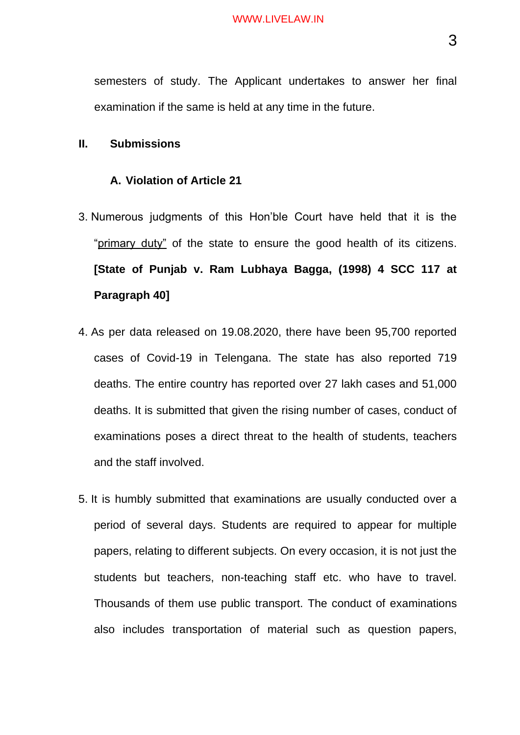semesters of study. The Applicant undertakes to answer her final examination if the same is held at any time in the future.

#### **II. Submissions**

#### **A. Violation of Article 21**

- 3. Numerous judgments of this Hon'ble Court have held that it is the "primary duty" of the state to ensure the good health of its citizens. **[State of Punjab v. Ram Lubhaya Bagga, (1998) 4 SCC 117 at Paragraph 40]**
- 4. As per data released on 19.08.2020, there have been 95,700 reported cases of Covid-19 in Telengana. The state has also reported 719 deaths. The entire country has reported over 27 lakh cases and 51,000 deaths. It is submitted that given the rising number of cases, conduct of examinations poses a direct threat to the health of students, teachers and the staff involved.
- 5. It is humbly submitted that examinations are usually conducted over a period of several days. Students are required to appear for multiple papers, relating to different subjects. On every occasion, it is not just the students but teachers, non-teaching staff etc. who have to travel. Thousands of them use public transport. The conduct of examinations also includes transportation of material such as question papers,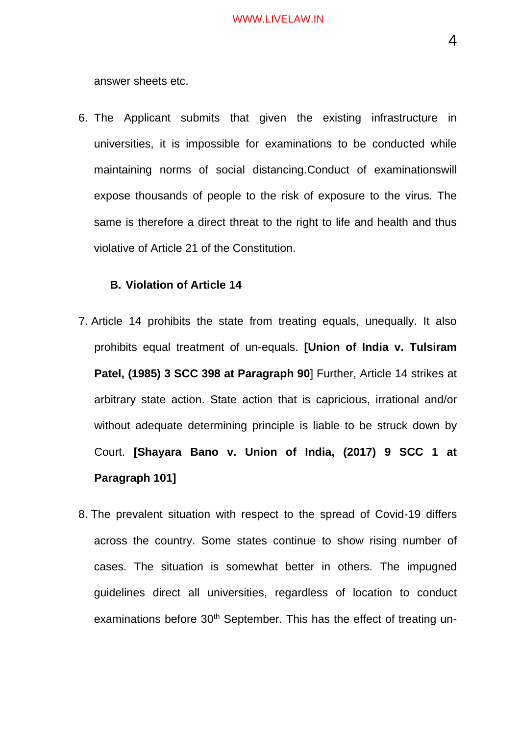answer sheets etc.

6. The Applicant submits that given the existing infrastructure in universities, it is impossible for examinations to be conducted while maintaining norms of social distancing.Conduct of examinationswill expose thousands of people to the risk of exposure to the virus. The same is therefore a direct threat to the right to life and health and thus violative of Article 21 of the Constitution.

### **B. Violation of Article 14**

- 7. Article 14 prohibits the state from treating equals, unequally. It also prohibits equal treatment of un-equals. **[Union of India v. Tulsiram Patel, (1985) 3 SCC 398 at Paragraph 90**] Further, Article 14 strikes at arbitrary state action. State action that is capricious, irrational and/or without adequate determining principle is liable to be struck down by Court. **[Shayara Bano v. Union of India, (2017) 9 SCC 1 at Paragraph 101]**
- 8. The prevalent situation with respect to the spread of Covid-19 differs across the country. Some states continue to show rising number of cases. The situation is somewhat better in others. The impugned guidelines direct all universities, regardless of location to conduct examinations before 30<sup>th</sup> September. This has the effect of treating un-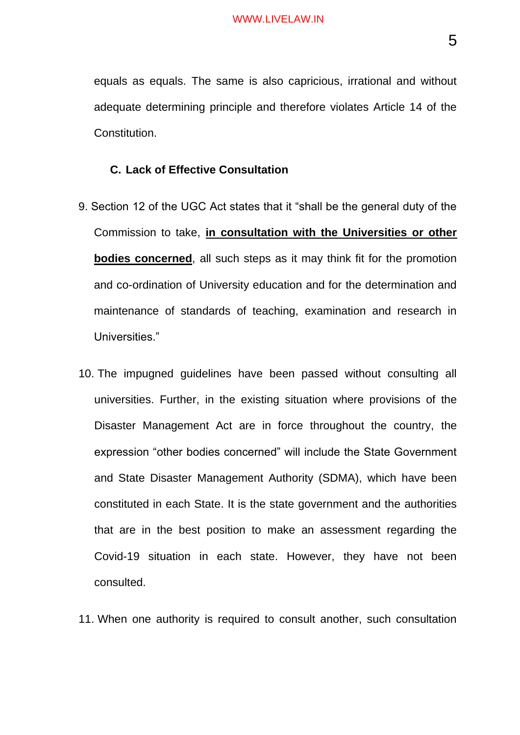equals as equals. The same is also capricious, irrational and without adequate determining principle and therefore violates Article 14 of the Constitution.

### **C. Lack of Effective Consultation**

- 9. Section 12 of the UGC Act states that it "shall be the general duty of the Commission to take, **in consultation with the Universities or other bodies concerned**, all such steps as it may think fit for the promotion and co-ordination of University education and for the determination and maintenance of standards of teaching, examination and research in Universities."
- 10. The impugned guidelines have been passed without consulting all universities. Further, in the existing situation where provisions of the Disaster Management Act are in force throughout the country, the expression "other bodies concerned" will include the State Government and State Disaster Management Authority (SDMA), which have been constituted in each State. It is the state government and the authorities that are in the best position to make an assessment regarding the Covid-19 situation in each state. However, they have not been consulted.
- 11. When one authority is required to consult another, such consultation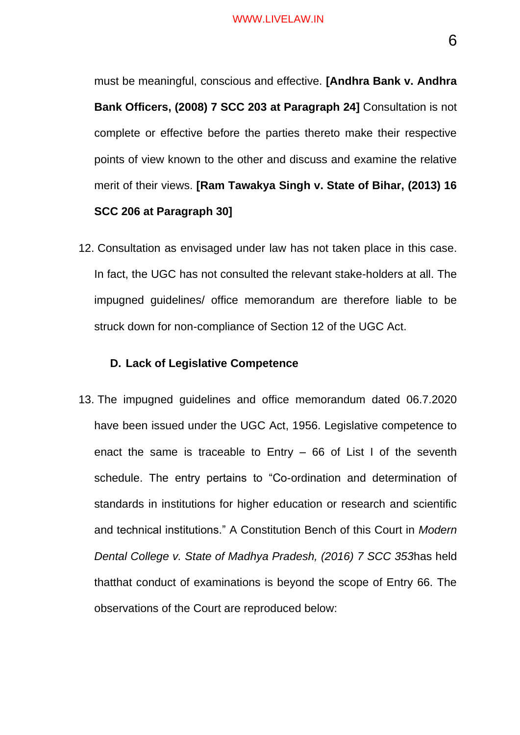must be meaningful, conscious and effective. **[Andhra Bank v. Andhra Bank Officers, (2008) 7 SCC 203 at Paragraph 24]** Consultation is not complete or effective before the parties thereto make their respective points of view known to the other and discuss and examine the relative merit of their views. **[Ram Tawakya Singh v. State of Bihar, (2013) 16 SCC 206 at Paragraph 30]**

12. Consultation as envisaged under law has not taken place in this case. In fact, the UGC has not consulted the relevant stake-holders at all. The impugned guidelines/ office memorandum are therefore liable to be struck down for non-compliance of Section 12 of the UGC Act.

#### **D. Lack of Legislative Competence**

13. The impugned guidelines and office memorandum dated 06.7.2020 have been issued under the UGC Act, 1956. Legislative competence to enact the same is traceable to Entry – 66 of List I of the seventh schedule. The entry pertains to "Co-ordination and determination of standards in institutions for higher education or research and scientific and technical institutions." A Constitution Bench of this Court in *Modern Dental College v. State of Madhya Pradesh, (2016) 7 SCC 353*has held thatthat conduct of examinations is beyond the scope of Entry 66. The observations of the Court are reproduced below: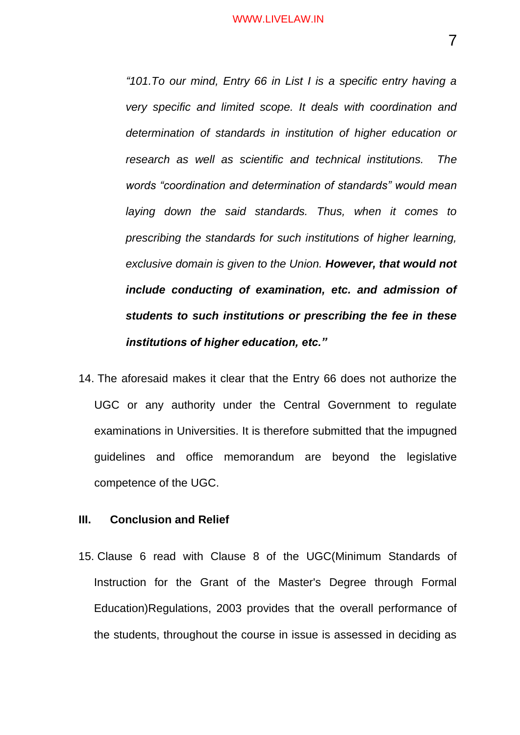*"101.To our mind, Entry 66 in List I is a specific entry having a very specific and limited scope. It deals with coordination and determination of standards in institution of higher education or research as well as scientific and technical institutions. The words "coordination and determination of standards" would mean laying down the said standards. Thus, when it comes to prescribing the standards for such institutions of higher learning, exclusive domain is given to the Union. However, that would not include conducting of examination, etc. and admission of students to such institutions or prescribing the fee in these institutions of higher education, etc."*

14. The aforesaid makes it clear that the Entry 66 does not authorize the UGC or any authority under the Central Government to regulate examinations in Universities. It is therefore submitted that the impugned guidelines and office memorandum are beyond the legislative competence of the UGC.

#### **III. Conclusion and Relief**

15. Clause 6 read with Clause 8 of the UGC(Minimum Standards of Instruction for the Grant of the Master's Degree through Formal Education)Regulations, 2003 provides that the overall performance of the students, throughout the course in issue is assessed in deciding as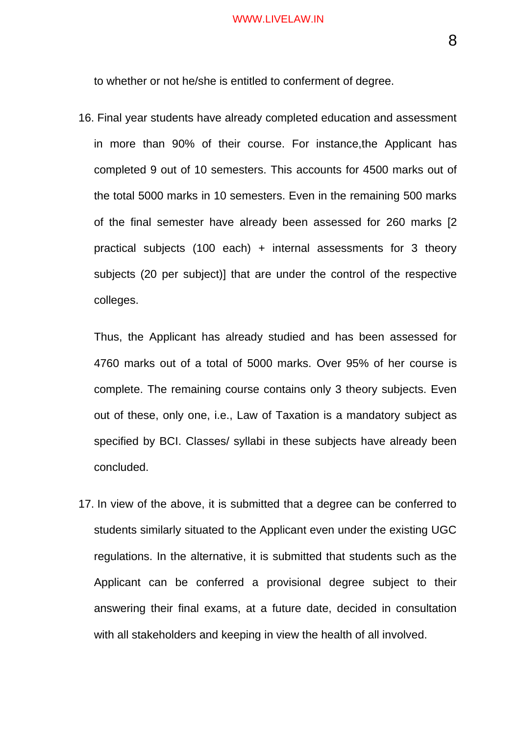to whether or not he/she is entitled to conferment of degree.

16. Final year students have already completed education and assessment in more than 90% of their course. For instance,the Applicant has completed 9 out of 10 semesters. This accounts for 4500 marks out of the total 5000 marks in 10 semesters. Even in the remaining 500 marks of the final semester have already been assessed for 260 marks [2 practical subjects (100 each) + internal assessments for 3 theory subjects (20 per subject)] that are under the control of the respective colleges.

Thus, the Applicant has already studied and has been assessed for 4760 marks out of a total of 5000 marks. Over 95% of her course is complete. The remaining course contains only 3 theory subjects. Even out of these, only one, i.e., Law of Taxation is a mandatory subject as specified by BCI. Classes/ syllabi in these subjects have already been concluded.

17. In view of the above, it is submitted that a degree can be conferred to students similarly situated to the Applicant even under the existing UGC regulations. In the alternative, it is submitted that students such as the Applicant can be conferred a provisional degree subject to their answering their final exams, at a future date, decided in consultation with all stakeholders and keeping in view the health of all involved.